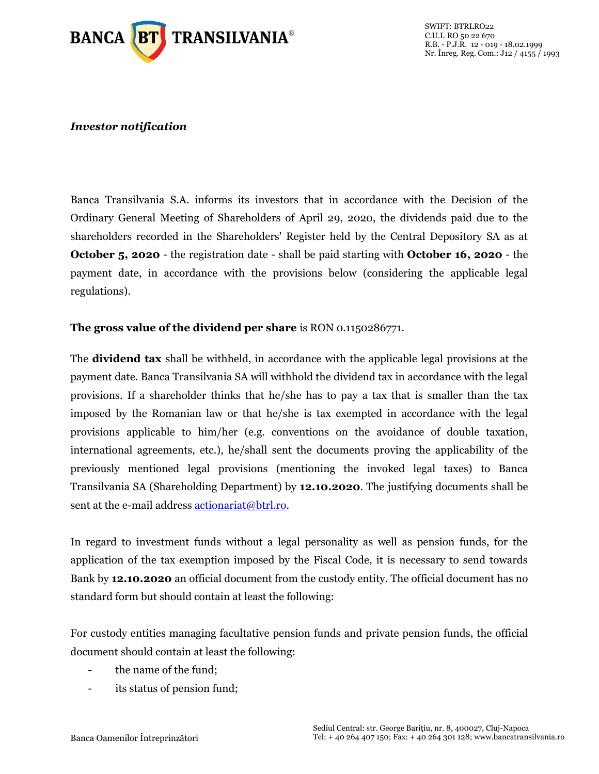

## *Investor notification*

Banca Transilvania S.A. informs its investors that in accordance with the Decision of the Ordinary General Meeting of Shareholders of April 29, 2020, the dividends paid due to the shareholders recorded in the Shareholders' Register held by the Central Depository SA as at **October 5, 2020** - the registration date - shall be paid starting with **October 16, 2020** - the payment date, in accordance with the provisions below (considering the applicable legal regulations).

## **The gross value of the dividend per share** is RON 0.1150286771.

The **dividend tax** shall be withheld, in accordance with the applicable legal provisions at the payment date. Banca Transilvania SA will withhold the dividend tax in accordance with the legal provisions. If a shareholder thinks that he/she has to pay a tax that is smaller than the tax imposed by the Romanian law or that he/she is tax exempted in accordance with the legal provisions applicable to him/her (e.g. conventions on the avoidance of double taxation, international agreements, etc.), he/shall sent the documents proving the applicability of the previously mentioned legal provisions (mentioning the invoked legal taxes) to Banca Transilvania SA (Shareholding Department) by **12.10.2020**. The justifying documents shall be sent at the e-mail address [actionariat@btrl.ro.](mailto:actionariat@btrl.ro)

In regard to investment funds without a legal personality as well as pension funds, for the application of the tax exemption imposed by the Fiscal Code, it is necessary to send towards Bank by **12.10.2020** an official document from the custody entity. The official document has no standard form but should contain at least the following:

For custody entities managing facultative pension funds and private pension funds, the official document should contain at least the following:

- the name of the fund;
- its status of pension fund;